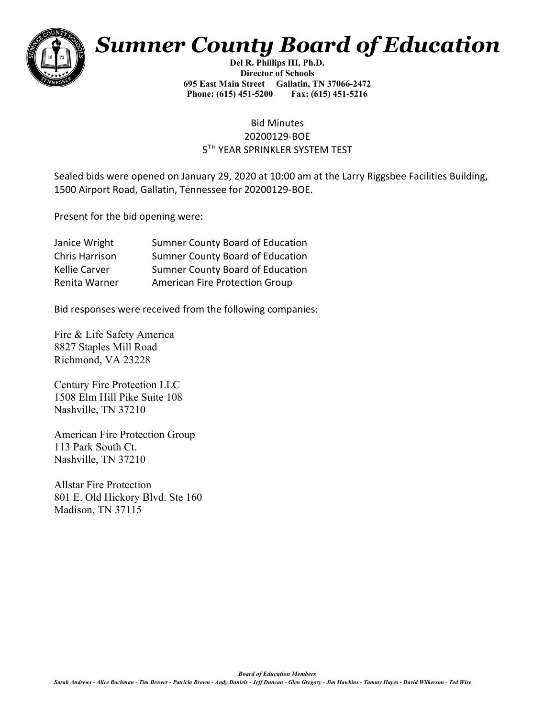

## *Sumner County Board of Education*

**Del R. Phillips III, Ph.D. Director of Schools 695 East Main Street Gallatin, TN 37066-2472 Phone: (615) 451-5200 Fax: (615) 451-5216** 

## Bid Minutes 20200129-BOE 5TH YEAR SPRINKLER SYSTEM TEST

Sealed bids were opened on January 29, 2020 at 10:00 am at the Larry Riggsbee Facilities Building, 1500 Airport Road, Gallatin, Tennessee for 20200129-BOE.

Present for the bid opening were:

| Janice Wright  | <b>Sumner County Board of Education</b> |
|----------------|-----------------------------------------|
| Chris Harrison | Sumner County Board of Education        |
| Kellie Carver  | <b>Sumner County Board of Education</b> |
| Renita Warner  | <b>American Fire Protection Group</b>   |

Bid responses were received from the following companies:

Fire & Life Safety America 8827 Staples Mill Road Richmond, VA 23228

Century Fire Protection LLC 1508 Elm Hill Pike Suite 108 Nashville, TN 37210

American Fire Protection Group 113 Park South Ct. Nashville, TN 37210

Allstar Fire Protection 801 E. Old Hickory Blvd. Ste 160 Madison, TN 37115